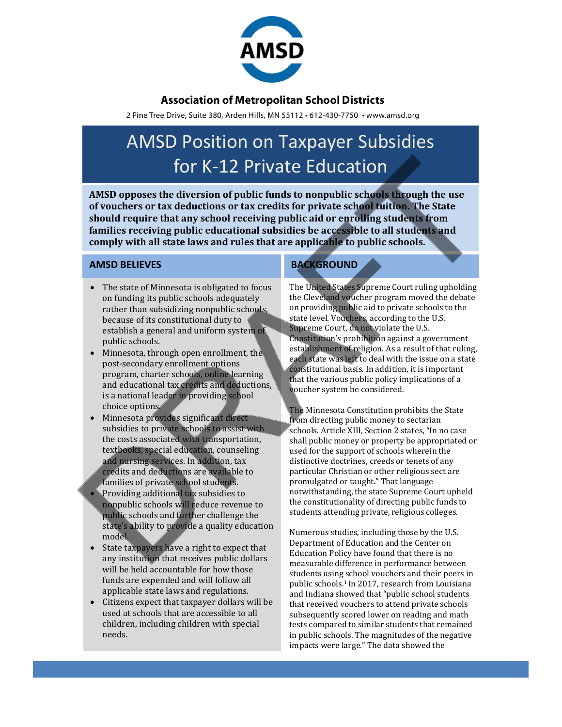

## **Association of Metropolitan School Districts**

2 Pine Tree Drive, Suite 380, Arden Hills, MN 55112 · 612-430-7750 · www.amsd.org

# AMSD Position on Taxpayer Subsidies for K-12 Private Education

**AMSD opposes the diversion of public funds to nonpublic schools through the use of vouchers or tax deductions or tax credits for private school tuition. The State should require that any school receiving public aid or enrolling students from families receiving public educational subsidies be accessible to all students and comply with all state laws and rules that are applicable to public schools.**

#### **AMSD BELIEVES**

- The state of Minnesota is obligated to focus on funding its public schools adequately rather than subsidizing nonpublic schools, because of its constitutional duty to establish a general and uniform system of public schools.
- Minnesota, through open enrollment, the post-secondary enrollment options program, charter schools, online learning and educational tax credits and deductions, is a national leader in providing school choice options.
- Minnesota provides significant direct subsidies to private schools to assist with the costs associated with transportation, textbooks, special education, counseling and nursing services. In addition, tax credits and deductions are available to families of private school students.
- Providing additional tax subsidies to nonpublic schools will reduce revenue to public schools and further challenge the state's ability to provide a quality education model.
- State taxpayers have a right to expect that any institution that receives public dollars will be held accountable for how those funds are expended and will follow all applicable state laws and regulations.
- Citizens expect that taxpayer dollars will be used at schools that are accessible to all children, including children with special needs.

### **BACKGROUND**

The United States Supreme Court ruling upholding the Cleveland voucher program moved the debate on providing public aid to private schools to the state level. Vouchers, according to the U.S. Supreme Court, do not violate the U.S. Constitution's prohibition against a government establishment of religion. As a result of that ruling, each state was left to deal with the issue on a state constitutional basis. In addition, it is important that the various public policy implications of a voucher system be considered.

The Minnesota Constitution prohibits the State from directing public money to sectarian schools. Article XIII, Section 2 states, "In no case shall public money or property be appropriated or used for the support of schools wherein the distinctive doctrines, creeds or tenets of any particular Christian or other religious sect are promulgated or taught." That language notwithstanding, the state Supreme Court upheld the constitutionality of directing public funds to students attending private, religious colleges.

Numerous studies, including those by the U.S. Department of Education and the Center on Education Policy have found that there is no measurable difference in performance between students using school vouchers and their peers in public schools.1 In 2017, research from Louisiana and Indiana showed that "public school students that received vouchers to attend private schools subsequently scored lower on reading and math tests compared to similar students that remained in public schools. The magnitudes of the negative impacts were large." The data showed the